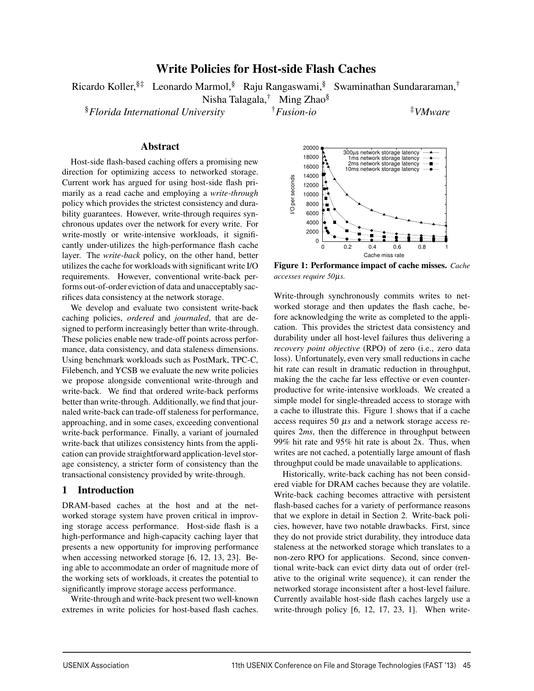# Write Policies for Host-side Flash Caches

Ricardo Koller,§‡ Leonardo Marmol,§ Raju Rangaswami,§ Swaminathan Sundararaman,†

Nisha Talagala,† Ming Zhao§

§*Florida International University* †*Fusion-io* ‡*VMware*

## Abstract

Host-side flash-based caching offers a promising new direction for optimizing access to networked storage. Current work has argued for using host-side flash primarily as a read cache and employing a *write-through* policy which provides the strictest consistency and durability guarantees. However, write-through requires synchronous updates over the network for every write. For write-mostly or write-intensive workloads, it significantly under-utilizes the high-performance flash cache layer. The *write-back* policy, on the other hand, better utilizes the cache for workloads with significant write I/O requirements. However, conventional write-back performs out-of-order eviction of data and unacceptably sacrifices data consistency at the network storage.

We develop and evaluate two consistent write-back caching policies, *ordered* and *journaled*, that are designed to perform increasingly better than write-through. These policies enable new trade-off points across performance, data consistency, and data staleness dimensions. Using benchmark workloads such as PostMark, TPC-C, Filebench, and YCSB we evaluate the new write policies we propose alongside conventional write-through and write-back. We find that ordered write-back performs better than write-through. Additionally, we find that journaled write-back can trade-off staleness for performance, approaching, and in some cases, exceeding conventional write-back performance. Finally, a variant of journaled write-back that utilizes consistency hints from the application can provide straightforward application-level storage consistency, a stricter form of consistency than the transactional consistency provided by write-through.

## 1 Introduction

DRAM-based caches at the host and at the networked storage system have proven critical in improving storage access performance. Host-side flash is a high-performance and high-capacity caching layer that presents a new opportunity for improving performance when accessing networked storage [6, 12, 13, 23]. Being able to accommodate an order of magnitude more of the working sets of workloads, it creates the potential to significantly improve storage access performance.

Write-through and write-back present two well-known extremes in write policies for host-based flash caches.



Figure 1: Performance impact of cache misses. *Cache accesses require 50*µ*s.*

Write-through synchronously commits writes to networked storage and then updates the flash cache, before acknowledging the write as completed to the application. This provides the strictest data consistency and durability under all host-level failures thus delivering a *recovery point objective* (RPO) of zero (i.e., zero data loss). Unfortunately, even very small reductions in cache hit rate can result in dramatic reduction in throughput, making the the cache far less effective or even counterproductive for write-intensive workloads. We created a simple model for single-threaded access to storage with a cache to illustrate this. Figure 1 shows that if a cache access requires 50 µ*s* and a network storage access requires 2*ms*, then the difference in throughput between 99% hit rate and 95% hit rate is about 2x. Thus, when writes are not cached, a potentially large amount of flash throughput could be made unavailable to applications.

Historically, write-back caching has not been considered viable for DRAM caches because they are volatile. Write-back caching becomes attractive with persistent flash-based caches for a variety of performance reasons that we explore in detail in Section 2. Write-back policies, however, have two notable drawbacks. First, since they do not provide strict durability, they introduce data staleness at the networked storage which translates to a non-zero RPO for applications. Second, since conventional write-back can evict dirty data out of order (relative to the original write sequence), it can render the networked storage inconsistent after a host-level failure. Currently available host-side flash caches largely use a write-through policy [6, 12, 17, 23, 1]. When write-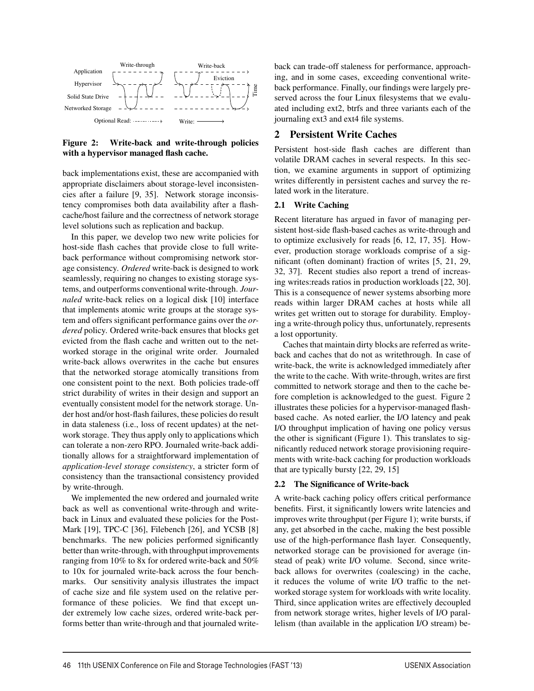

Figure 2: Write-back and write-through policies with a hypervisor managed flash cache.

back implementations exist, these are accompanied with appropriate disclaimers about storage-level inconsistencies after a failure [9, 35]. Network storage inconsistency compromises both data availability after a flashcache/host failure and the correctness of network storage level solutions such as replication and backup.

In this paper, we develop two new write policies for host-side flash caches that provide close to full writeback performance without compromising network storage consistency. *Ordered* write-back is designed to work seamlessly, requiring no changes to existing storage systems, and outperforms conventional write-through. *Journaled* write-back relies on a logical disk [10] interface that implements atomic write groups at the storage system and offers significant performance gains over the *ordered* policy. Ordered write-back ensures that blocks get evicted from the flash cache and written out to the networked storage in the original write order. Journaled write-back allows overwrites in the cache but ensures that the networked storage atomically transitions from one consistent point to the next. Both policies trade-off strict durability of writes in their design and support an eventually consistent model for the network storage. Under host and/or host-flash failures, these policies do result in data staleness (i.e., loss of recent updates) at the network storage. They thus apply only to applications which can tolerate a non-zero RPO. Journaled write-back additionally allows for a straightforward implementation of *application-level storage consistency*, a stricter form of consistency than the transactional consistency provided by write-through.

We implemented the new ordered and journaled write back as well as conventional write-through and writeback in Linux and evaluated these policies for the Post-Mark [19], TPC-C [36], Filebench [26], and YCSB [8] benchmarks. The new policies performed significantly better than write-through, with throughput improvements ranging from 10% to 8x for ordered write-back and 50% to 10x for journaled write-back across the four benchmarks. Our sensitivity analysis illustrates the impact of cache size and file system used on the relative performance of these policies. We find that except under extremely low cache sizes, ordered write-back performs better than write-through and that journaled writeback can trade-off staleness for performance, approaching, and in some cases, exceeding conventional writeback performance. Finally, our findings were largely preserved across the four Linux filesystems that we evaluated including ext2, btrfs and three variants each of the journaling ext3 and ext4 file systems.

## 2 Persistent Write Caches

Persistent host-side flash caches are different than volatile DRAM caches in several respects. In this section, we examine arguments in support of optimizing writes differently in persistent caches and survey the related work in the literature.

### 2.1 Write Caching

Recent literature has argued in favor of managing persistent host-side flash-based caches as write-through and to optimize exclusively for reads [6, 12, 17, 35]. However, production storage workloads comprise of a significant (often dominant) fraction of writes [5, 21, 29, 32, 37]. Recent studies also report a trend of increasing writes:reads ratios in production workloads [22, 30]. This is a consequence of newer systems absorbing more reads within larger DRAM caches at hosts while all writes get written out to storage for durability. Employing a write-through policy thus, unfortunately, represents a lost opportunity.

Caches that maintain dirty blocks are referred as writeback and caches that do not as writethrough. In case of write-back, the write is acknowledged immediately after the write to the cache. With write-through, writes are first committed to network storage and then to the cache before completion is acknowledged to the guest. Figure 2 illustrates these policies for a hypervisor-managed flashbased cache. As noted earlier, the I/O latency and peak I/O throughput implication of having one policy versus the other is significant (Figure 1). This translates to significantly reduced network storage provisioning requirements with write-back caching for production workloads that are typically bursty [22, 29, 15]

### 2.2 The Significance of Write-back

A write-back caching policy offers critical performance benefits. First, it significantly lowers write latencies and improves write throughput (per Figure 1); write bursts, if any, get absorbed in the cache, making the best possible use of the high-performance flash layer. Consequently, networked storage can be provisioned for average (instead of peak) write I/O volume. Second, since writeback allows for overwrites (coalescing) in the cache, it reduces the volume of write I/O traffic to the networked storage system for workloads with write locality. Third, since application writes are effectively decoupled from network storage writes, higher levels of I/O parallelism (than available in the application I/O stream) be-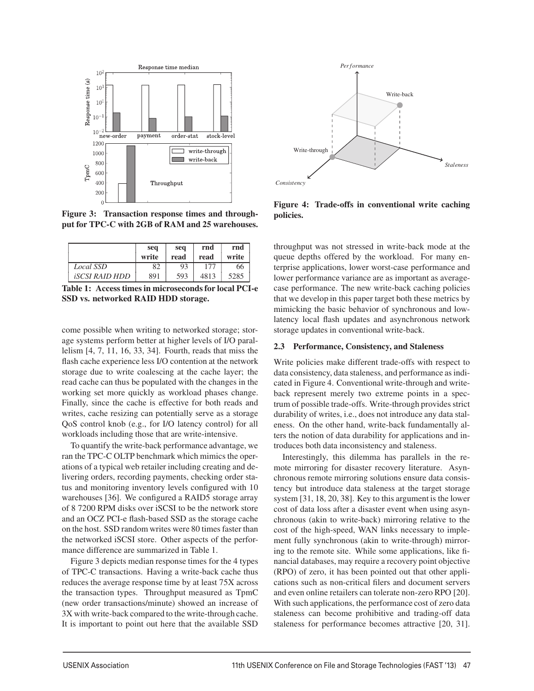

Figure 3: Transaction response times and throughput for TPC-C with 2GB of RAM and 25 warehouses.

|                              | seq<br>write | seq<br>read | rnd<br>read | rnd<br>write |
|------------------------------|--------------|-------------|-------------|--------------|
| Local SSD                    | 82           | 93          | 177         | 66           |
| <i><b>iscsi Raid HDD</b></i> | 891          | 593         | 4813        | 5285         |

Table 1: Access times in microseconds for local PCI-e SSD vs. networked RAID HDD storage.

come possible when writing to networked storage; storage systems perform better at higher levels of I/O parallelism [4, 7, 11, 16, 33, 34]. Fourth, reads that miss the flash cache experience less I/O contention at the network storage due to write coalescing at the cache layer; the read cache can thus be populated with the changes in the working set more quickly as workload phases change. Finally, since the cache is effective for both reads and writes, cache resizing can potentially serve as a storage QoS control knob (e.g., for I/O latency control) for all workloads including those that are write-intensive.

To quantify the write-back performance advantage, we ran the TPC-C OLTP benchmark which mimics the operations of a typical web retailer including creating and delivering orders, recording payments, checking order status and monitoring inventory levels configured with 10 warehouses [36]. We configured a RAID5 storage array of 8 7200 RPM disks over iSCSI to be the network store and an OCZ PCI-e flash-based SSD as the storage cache on the host. SSD random writes were 80 times faster than the networked iSCSI store. Other aspects of the performance difference are summarized in Table 1.

Figure 3 depicts median response times for the 4 types of TPC-C transactions. Having a write-back cache thus reduces the average response time by at least 75X across the transaction types. Throughput measured as TpmC (new order transactions/minute) showed an increase of 3X with write-back compared to the write-through cache. It is important to point out here that the available SSD



Figure 4: Trade-offs in conventional write caching policies.

throughput was not stressed in write-back mode at the queue depths offered by the workload. For many enterprise applications, lower worst-case performance and lower performance variance are as important as averagecase performance. The new write-back caching policies that we develop in this paper target both these metrics by mimicking the basic behavior of synchronous and lowlatency local flash updates and asynchronous network storage updates in conventional write-back.

### 2.3 Performance, Consistency, and Staleness

Write policies make different trade-offs with respect to data consistency, data staleness, and performance as indicated in Figure 4. Conventional write-through and writeback represent merely two extreme points in a spectrum of possible trade-offs. Write-through provides strict durability of writes, i.e., does not introduce any data staleness. On the other hand, write-back fundamentally alters the notion of data durability for applications and introduces both data inconsistency and staleness.

Interestingly, this dilemma has parallels in the remote mirroring for disaster recovery literature. Asynchronous remote mirroring solutions ensure data consistency but introduce data staleness at the target storage system [31, 18, 20, 38]. Key to this argument is the lower cost of data loss after a disaster event when using asynchronous (akin to write-back) mirroring relative to the cost of the high-speed, WAN links necessary to implement fully synchronous (akin to write-through) mirroring to the remote site. While some applications, like financial databases, may require a recovery point objective (RPO) of zero, it has been pointed out that other applications such as non-critical filers and document servers and even online retailers can tolerate non-zero RPO [20]. With such applications, the performance cost of zero data staleness can become prohibitive and trading-off data staleness for performance becomes attractive [20, 31].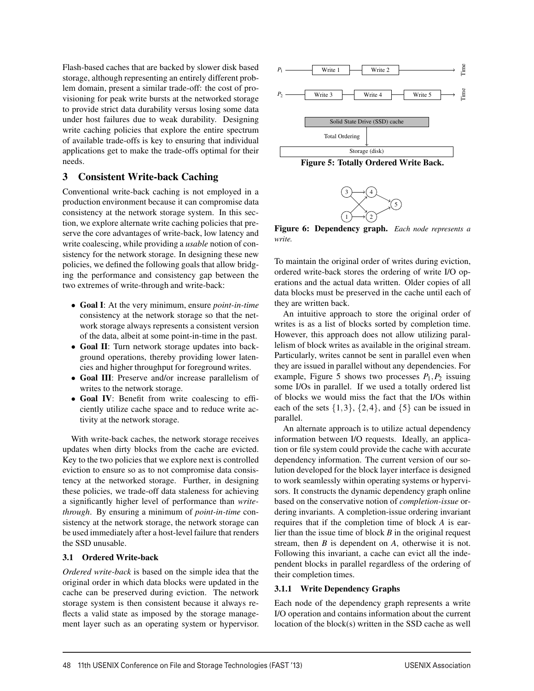Flash-based caches that are backed by slower disk based storage, although representing an entirely different problem domain, present a similar trade-off: the cost of provisioning for peak write bursts at the networked storage to provide strict data durability versus losing some data under host failures due to weak durability. Designing write caching policies that explore the entire spectrum of available trade-offs is key to ensuring that individual applications get to make the trade-offs optimal for their needs.

## 3 Consistent Write-back Caching

Conventional write-back caching is not employed in a production environment because it can compromise data consistency at the network storage system. In this section, we explore alternate write caching policies that preserve the core advantages of write-back, low latency and write coalescing, while providing a *usable* notion of consistency for the network storage. In designing these new policies, we defined the following goals that allow bridging the performance and consistency gap between the two extremes of write-through and write-back:

- Goal I: At the very minimum, ensure *point-in-time* consistency at the network storage so that the network storage always represents a consistent version of the data, albeit at some point-in-time in the past.
- Goal II: Turn network storage updates into background operations, thereby providing lower latencies and higher throughput for foreground writes.
- Goal III: Preserve and/or increase parallelism of writes to the network storage.
- Goal IV: Benefit from write coalescing to efficiently utilize cache space and to reduce write activity at the network storage.

With write-back caches, the network storage receives updates when dirty blocks from the cache are evicted. Key to the two policies that we explore next is controlled eviction to ensure so as to not compromise data consistency at the networked storage. Further, in designing these policies, we trade-off data staleness for achieving a significantly higher level of performance than *writethrough*. By ensuring a minimum of *point-in-time* consistency at the network storage, the network storage can be used immediately after a host-level failure that renders the SSD unusable.

## 3.1 Ordered Write-back

*Ordered write-back* is based on the simple idea that the original order in which data blocks were updated in the cache can be preserved during eviction. The network storage system is then consistent because it always reflects a valid state as imposed by the storage management layer such as an operating system or hypervisor.







Figure 6: Dependency graph. *Each node represents a write.*

To maintain the original order of writes during eviction, ordered write-back stores the ordering of write I/O operations and the actual data written. Older copies of all data blocks must be preserved in the cache until each of they are written back.

An intuitive approach to store the original order of writes is as a list of blocks sorted by completion time. However, this approach does not allow utilizing parallelism of block writes as available in the original stream. Particularly, writes cannot be sent in parallel even when they are issued in parallel without any dependencies. For example, Figure 5 shows two processes  $P_1, P_2$  issuing some I/Os in parallel. If we used a totally ordered list of blocks we would miss the fact that the I/Os within each of the sets  $\{1,3\}$ ,  $\{2,4\}$ , and  $\{5\}$  can be issued in parallel.

An alternate approach is to utilize actual dependency information between I/O requests. Ideally, an application or file system could provide the cache with accurate dependency information. The current version of our solution developed for the block layer interface is designed to work seamlessly within operating systems or hypervisors. It constructs the dynamic dependency graph online based on the conservative notion of *completion-issue* ordering invariants. A completion-issue ordering invariant requires that if the completion time of block *A* is earlier than the issue time of block *B* in the original request stream, then *B* is dependent on *A*, otherwise it is not. Following this invariant, a cache can evict all the independent blocks in parallel regardless of the ordering of their completion times.

## 3.1.1 Write Dependency Graphs

4

Each node of the dependency graph represents a write I/O operation and contains information about the current location of the block(s) written in the SSD cache as well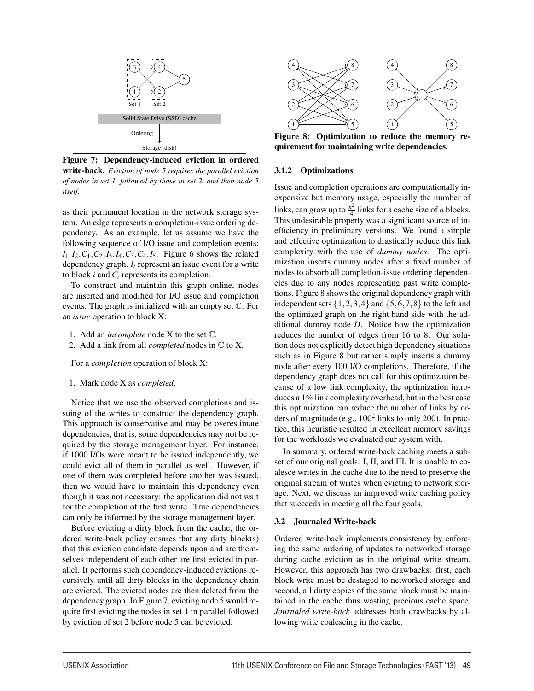

Figure 7: Dependency-induced eviction in ordered write-back. *Eviction of node 5 requires the parallel eviction of nodes in set 1, followed by those in set 2, and then node 5 itself.*

as their permanent location in the network storage system. An edge represents a completion-issue ordering dependency. As an example, let us assume we have the following sequence of I/O issue and completion events:  $I_1, I_2, C_1, C_2, I_3, I_4, C_3, C_4, I_5$ . Figure 6 shows the related dependency graph. *Ii* represent an issue event for a write to block *i* and *Ci* represents its completion.

To construct and maintain this graph online, nodes are inserted and modified for I/O issue and completion events. The graph is initialized with an empty set C. For an *issue* operation to block X:

- 1. Add an *incomplete* node X to the set C.
- 2. Add a link from all *completed* nodes in C to X.

For a *completion* operation of block X:

1. Mark node X as *completed*.

Notice that we use the observed completions and issuing of the writes to construct the dependency graph. This approach is conservative and may be overestimate dependencies, that is, some dependencies may not be required by the storage management layer. For instance, if 1000 I/Os were meant to be issued independently, we could evict all of them in parallel as well. However, if one of them was completed before another was issued, then we would have to maintain this dependency even though it was not necessary: the application did not wait for the completion of the first write. True dependencies can only be informed by the storage management layer.

Before evicting a dirty block from the cache, the ordered write-back policy ensures that any dirty block(s) that this eviction candidate depends upon and are themselves independent of each other are first evicted in parallel. It performs such dependency-induced evictions recursively until all dirty blocks in the dependency chain are evicted. The evicted nodes are then deleted from the dependency graph. In Figure 7, evicting node 5 would require first evicting the nodes in set 1 in parallel followed by eviction of set 2 before node 5 can be evicted.



Figure 8: Optimization to reduce the memory requirement for maintaining write dependencies.

### 3.1.2 Optimizations

Issue and completion operations are computationally inexpensive but memory usage, especially the number of links, can grow up to  $\frac{n^2}{4}$  links for a cache size of *n* blocks. This undesirable property was a significant source of inefficiency in preliminary versions. We found a simple and effective optimization to drastically reduce this link complexity with the use of *dummy nodes*. The optimization inserts dummy nodes after a fixed number of nodes to absorb all completion-issue ordering dependencies due to any nodes representing past write completions. Figure 8 shows the original dependency graph with independent sets  $\{1,2,3,4\}$  and  $\{5,6,7,8\}$  to the left and the optimized graph on the right hand side with the additional dummy node *D*. Notice how the optimization reduces the number of edges from 16 to 8. Our solution does not explicitly detect high dependency situations such as in Figure 8 but rather simply inserts a dummy node after every 100 I/O completions. Therefore, if the dependency graph does not call for this optimization because of a low link complexity, the optimization introduces a 1% link complexity overhead, but in the best case this optimization can reduce the number of links by orders of magnitude (e.g.,  $100^2$  links to only 200). In practice, this heuristic resulted in excellent memory savings for the workloads we evaluated our system with.

In summary, ordered write-back caching meets a subset of our original goals: I, II, and III. It is unable to coalesce writes in the cache due to the need to preserve the original stream of writes when evicting to network storage. Next, we discuss an improved write caching policy that succeeds in meeting all the four goals.

### 3.2 Journaled Write-back

5

Ordered write-back implements consistency by enforcing the same ordering of updates to networked storage during cache eviction as in the original write stream. However, this approach has two drawbacks: first, each block write must be destaged to networked storage and second, all dirty copies of the same block must be maintained in the cache thus wasting precious cache space. *Journaled write-back* addresses both drawbacks by allowing write coalescing in the cache.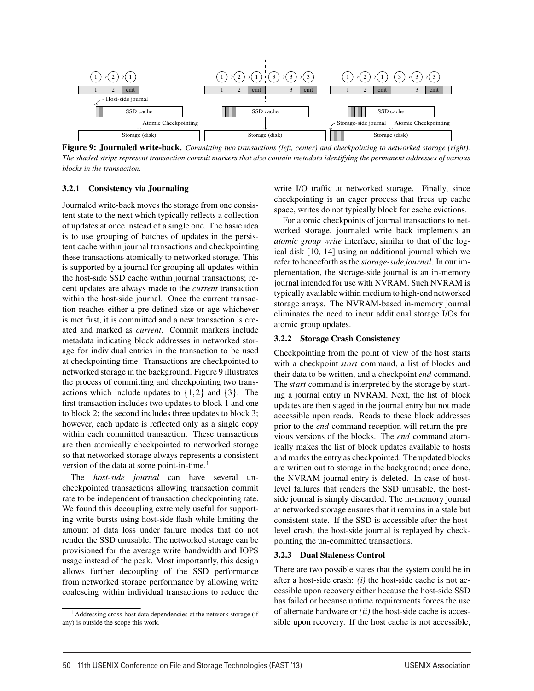

Figure 9: Journaled write-back. *Committing two transactions (left, center) and checkpointing to networked storage (right). The shaded strips represent transaction commit markers that also contain metadata identifying the permanent addresses of various blocks in the transaction.*

### 3.2.1 Consistency via Journaling

Journaled write-back moves the storage from one consistent state to the next which typically reflects a collection of updates at once instead of a single one. The basic idea is to use grouping of batches of updates in the persistent cache within journal transactions and checkpointing these transactions atomically to networked storage. This is supported by a journal for grouping all updates within the host-side SSD cache within journal transactions; recent updates are always made to the *current* transaction within the host-side journal. Once the current transaction reaches either a pre-defined size or age whichever is met first, it is committed and a new transaction is created and marked as *current*. Commit markers include metadata indicating block addresses in networked storage for individual entries in the transaction to be used at checkpointing time. Transactions are checkpointed to networked storage in the background. Figure 9 illustrates the process of committing and checkpointing two transactions which include updates to  $\{1,2\}$  and  $\{3\}$ . The first transaction includes two updates to block 1 and one to block 2; the second includes three updates to block 3; however, each update is reflected only as a single copy within each committed transaction. These transactions are then atomically checkpointed to networked storage so that networked storage always represents a consistent version of the data at some point-in-time.<sup>1</sup>

The *host-side journal* can have several uncheckpointed transactions allowing transaction commit rate to be independent of transaction checkpointing rate. We found this decoupling extremely useful for supporting write bursts using host-side flash while limiting the amount of data loss under failure modes that do not render the SSD unusable. The networked storage can be provisioned for the average write bandwidth and IOPS usage instead of the peak. Most importantly, this design allows further decoupling of the SSD performance from networked storage performance by allowing write coalescing within individual transactions to reduce the write I/O traffic at networked storage. Finally, since checkpointing is an eager process that frees up cache space, writes do not typically block for cache evictions.

For atomic checkpoints of journal transactions to networked storage, journaled write back implements an *atomic group write* interface, similar to that of the logical disk [10, 14] using an additional journal which we refer to henceforth as the *storage-side journal*. In our implementation, the storage-side journal is an in-memory journal intended for use with NVRAM. Such NVRAM is typically available within medium to high-end networked storage arrays. The NVRAM-based in-memory journal eliminates the need to incur additional storage I/Os for atomic group updates.

## 3.2.2 Storage Crash Consistency

Checkpointing from the point of view of the host starts with a checkpoint *start* command, a list of blocks and their data to be written, and a checkpoint *end* command. The *start* command is interpreted by the storage by starting a journal entry in NVRAM. Next, the list of block updates are then staged in the journal entry but not made accessible upon reads. Reads to these block addresses prior to the *end* command reception will return the previous versions of the blocks. The *end* command atomically makes the list of block updates available to hosts and marks the entry as checkpointed. The updated blocks are written out to storage in the background; once done, the NVRAM journal entry is deleted. In case of hostlevel failures that renders the SSD unusable, the hostside journal is simply discarded. The in-memory journal at networked storage ensures that it remains in a stale but consistent state. If the SSD is accessible after the hostlevel crash, the host-side journal is replayed by checkpointing the un-committed transactions.

#### 3.2.3 Dual Staleness Control

6

There are two possible states that the system could be in after a host-side crash: *(i)* the host-side cache is not accessible upon recovery either because the host-side SSD has failed or because uptime requirements forces the use of alternate hardware or *(ii)* the host-side cache is accessible upon recovery. If the host cache is not accessible,

 $<sup>1</sup>$ Addressing cross-host data dependencies at the network storage (if</sup> any) is outside the scope this work.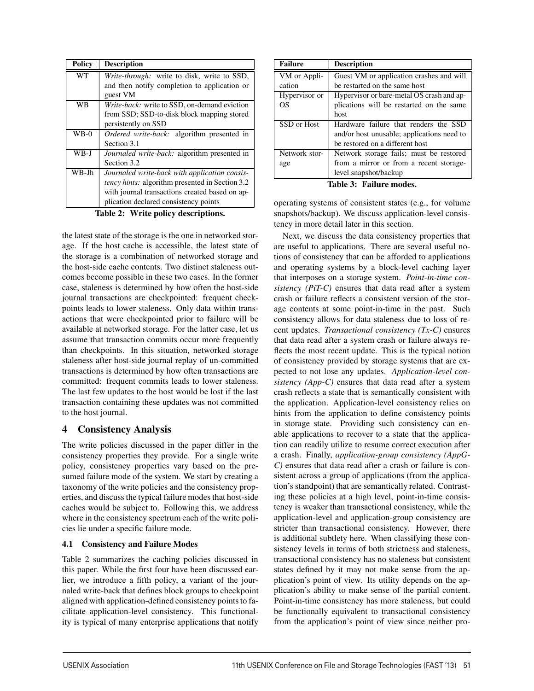| <b>Policy</b> | <b>Description</b>                                     |
|---------------|--------------------------------------------------------|
| <b>WT</b>     | Write-through: write to disk, write to SSD,            |
|               | and then notify completion to application or           |
|               | guest VM                                               |
| WB            | Write-back: write to SSD, on-demand eviction           |
|               | from SSD; SSD-to-disk block mapping stored             |
|               | persistently on SSD                                    |
| $WB-0$        | <i>Ordered write-back:</i> algorithm presented in      |
|               | Section 3.1                                            |
| WB-J          | Journaled write-back: algorithm presented in           |
|               | Section 3.2                                            |
| WB-Jh         | Journaled write-back with application consis-          |
|               | <i>tency hints:</i> algorithm presented in Section 3.2 |
|               | with journal transactions created based on ap-         |
|               | plication declared consistency points                  |

Table 2: Write policy descriptions.

the latest state of the storage is the one in networked storage. If the host cache is accessible, the latest state of the storage is a combination of networked storage and the host-side cache contents. Two distinct staleness outcomes become possible in these two cases. In the former case, staleness is determined by how often the host-side journal transactions are checkpointed: frequent checkpoints leads to lower staleness. Only data within transactions that were checkpointed prior to failure will be available at networked storage. For the latter case, let us assume that transaction commits occur more frequently than checkpoints. In this situation, networked storage staleness after host-side journal replay of un-committed transactions is determined by how often transactions are committed: frequent commits leads to lower staleness. The last few updates to the host would be lost if the last transaction containing these updates was not committed to the host journal.

## 4 Consistency Analysis

The write policies discussed in the paper differ in the consistency properties they provide. For a single write policy, consistency properties vary based on the presumed failure mode of the system. We start by creating a taxonomy of the write policies and the consistency properties, and discuss the typical failure modes that host-side caches would be subject to. Following this, we address where in the consistency spectrum each of the write policies lie under a specific failure mode.

## 4.1 Consistency and Failure Modes

Table 2 summarizes the caching policies discussed in this paper. While the first four have been discussed earlier, we introduce a fifth policy, a variant of the journaled write-back that defines block groups to checkpoint aligned with application-defined consistency points to facilitate application-level consistency. This functionality is typical of many enterprise applications that notify

| <b>Failure</b> | <b>Description</b>                         |  |
|----------------|--------------------------------------------|--|
| VM or Appli-   | Guest VM or application crashes and will   |  |
| cation         | be restarted on the same host              |  |
| Hypervisor or  | Hypervisor or bare-metal OS crash and ap-  |  |
| OS             | plications will be restarted on the same   |  |
|                | host                                       |  |
| SSD or Host    | Hardware failure that renders the SSD      |  |
|                | and/or host unusable; applications need to |  |
|                | be restored on a different host            |  |
| Network stor-  | Network storage fails; must be restored    |  |
| age            | from a mirror or from a recent storage-    |  |
|                | level snapshot/backup                      |  |

Table 3: Failure modes.

operating systems of consistent states (e.g., for volume snapshots/backup). We discuss application-level consistency in more detail later in this section.

Next, we discuss the data consistency properties that are useful to applications. There are several useful notions of consistency that can be afforded to applications and operating systems by a block-level caching layer that interposes on a storage system. *Point-in-time consistency (PiT-C)* ensures that data read after a system crash or failure reflects a consistent version of the storage contents at some point-in-time in the past. Such consistency allows for data staleness due to loss of recent updates. *Transactional consistency (Tx-C)* ensures that data read after a system crash or failure always reflects the most recent update. This is the typical notion of consistency provided by storage systems that are expected to not lose any updates. *Application-level consistency (App-C)* ensures that data read after a system crash reflects a state that is semantically consistent with the application. Application-level consistency relies on hints from the application to define consistency points in storage state. Providing such consistency can enable applications to recover to a state that the application can readily utilize to resume correct execution after a crash. Finally, *application-group consistency (AppG-C)* ensures that data read after a crash or failure is consistent across a group of applications (from the application's standpoint) that are semantically related. Contrasting these policies at a high level, point-in-time consistency is weaker than transactional consistency, while the application-level and application-group consistency are stricter than transactional consistency. However, there is additional subtlety here. When classifying these consistency levels in terms of both strictness and staleness, transactional consistency has no staleness but consistent states defined by it may not make sense from the application's point of view. Its utility depends on the application's ability to make sense of the partial content. Point-in-time consistency has more staleness, but could be functionally equivalent to transactional consistency from the application's point of view since neither pro-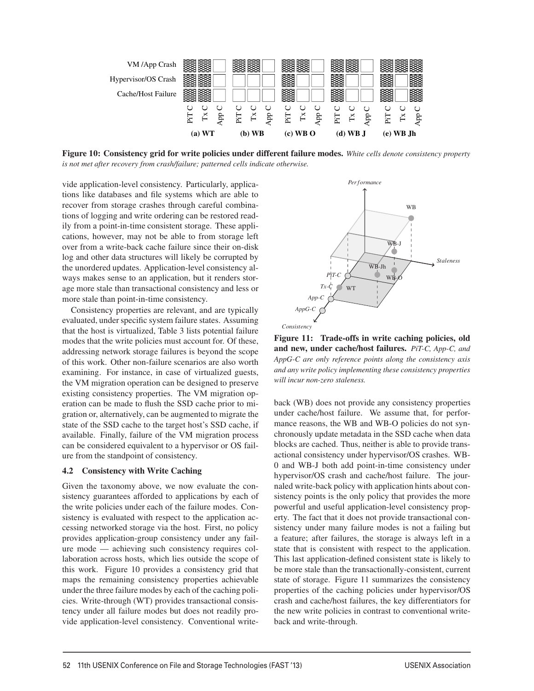

Figure 10: Consistency grid for write policies under different failure modes. *White cells denote consistency property is not met after recovery from crash/failure; patterned cells indicate otherwise.*

vide application-level consistency. Particularly, applications like databases and file systems which are able to recover from storage crashes through careful combinations of logging and write ordering can be restored readily from a point-in-time consistent storage. These applications, however, may not be able to from storage left over from a write-back cache failure since their on-disk log and other data structures will likely be corrupted by the unordered updates. Application-level consistency always makes sense to an application, but it renders storage more stale than transactional consistency and less or more stale than point-in-time consistency.

Consistency properties are relevant, and are typically evaluated, under specific system failure states. Assuming that the host is virtualized, Table 3 lists potential failure modes that the write policies must account for. Of these, addressing network storage failures is beyond the scope of this work. Other non-failure scenarios are also worth examining. For instance, in case of virtualized guests, the VM migration operation can be designed to preserve existing consistency properties. The VM migration operation can be made to flush the SSD cache prior to migration or, alternatively, can be augmented to migrate the state of the SSD cache to the target host's SSD cache, if available. Finally, failure of the VM migration process can be considered equivalent to a hypervisor or OS failure from the standpoint of consistency.

### 4.2 Consistency with Write Caching

Given the taxonomy above, we now evaluate the consistency guarantees afforded to applications by each of the write policies under each of the failure modes. Consistency is evaluated with respect to the application accessing networked storage via the host. First, no policy provides application-group consistency under any failure mode — achieving such consistency requires collaboration across hosts, which lies outside the scope of this work. Figure 10 provides a consistency grid that maps the remaining consistency properties achievable under the three failure modes by each of the caching policies. Write-through (WT) provides transactional consistency under all failure modes but does not readily provide application-level consistency. Conventional write-



Figure 11: Trade-offs in write caching policies, old and new, under cache/host failures. *PiT-C, App-C, and AppG-C are only reference points along the consistency axis and any write policy implementing these consistency properties will incur non-zero staleness.*

back (WB) does not provide any consistency properties under cache/host failure. We assume that, for performance reasons, the WB and WB-O policies do not synchronously update metadata in the SSD cache when data blocks are cached. Thus, neither is able to provide transactional consistency under hypervisor/OS crashes. WB-0 and WB-J both add point-in-time consistency under hypervisor/OS crash and cache/host failure. The journaled write-back policy with application hints about consistency points is the only policy that provides the more powerful and useful application-level consistency property. The fact that it does not provide transactional consistency under many failure modes is not a failing but a feature; after failures, the storage is always left in a state that is consistent with respect to the application. This last application-defined consistent state is likely to be more stale than the transactionally-consistent, current state of storage. Figure 11 summarizes the consistency properties of the caching policies under hypervisor/OS crash and cache/host failures, the key differentiators for the new write policies in contrast to conventional writeback and write-through.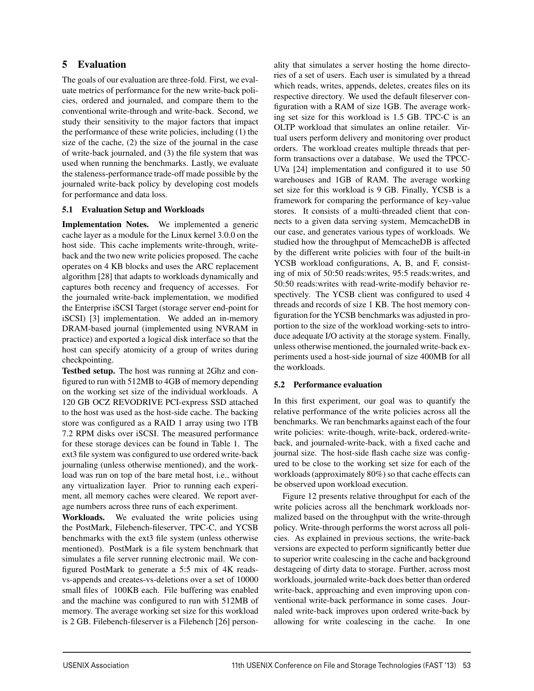## 5 Evaluation

The goals of our evaluation are three-fold. First, we evaluate metrics of performance for the new write-back policies, ordered and journaled, and compare them to the conventional write-through and write-back. Second, we study their sensitivity to the major factors that impact the performance of these write policies, including (1) the size of the cache, (2) the size of the journal in the case of write-back journaled, and (3) the file system that was used when running the benchmarks. Lastly, we evaluate the staleness-performance trade-off made possible by the journaled write-back policy by developing cost models for performance and data loss.

## 5.1 Evaluation Setup and Workloads

Implementation Notes. We implemented a generic cache layer as a module for the Linux kernel 3.0.0 on the host side. This cache implements write-through, writeback and the two new write policies proposed. The cache operates on 4 KB blocks and uses the ARC replacement algorithm [28] that adapts to workloads dynamically and captures both recency and frequency of accesses. For the journaled write-back implementation, we modified the Enterprise iSCSI Target (storage server end-point for iSCSI) [3] implementation. We added an in-memory DRAM-based journal (implemented using NVRAM in practice) and exported a logical disk interface so that the host can specify atomicity of a group of writes during checkpointing.

Testbed setup. The host was running at 2Ghz and configured to run with 512MB to 4GB of memory depending on the working set size of the individual workloads. A 120 GB OCZ REVODRIVE PCI-express SSD attached to the host was used as the host-side cache. The backing store was configured as a RAID 1 array using two 1TB 7.2 RPM disks over iSCSI. The measured performance for these storage devices can be found in Table 1. The ext3 file system was configured to use ordered write-back journaling (unless otherwise mentioned), and the workload was run on top of the bare metal host, i.e., without any virtualization layer. Prior to running each experiment, all memory caches were cleared. We report average numbers across three runs of each experiment.

Workloads. We evaluated the write policies using the PostMark, Filebench-fileserver, TPC-C, and YCSB benchmarks with the ext3 file system (unless otherwise mentioned). PostMark is a file system benchmark that simulates a file server running electronic mail. We configured PostMark to generate a 5:5 mix of 4K readsvs-appends and creates-vs-deletions over a set of 10000 small files of 100KB each. File buffering was enabled and the machine was configured to run with 512MB of memory. The average working set size for this workload is 2 GB. Filebench-fileserver is a Filebench [26] personality that simulates a server hosting the home directories of a set of users. Each user is simulated by a thread which reads, writes, appends, deletes, creates files on its respective directory. We used the default fileserver configuration with a RAM of size 1GB. The average working set size for this workload is 1.5 GB. TPC-C is an OLTP workload that simulates an online retailer. Virtual users perform delivery and monitoring over product orders. The workload creates multiple threads that perform transactions over a database. We used the TPCC-UVa [24] implementation and configured it to use 50 warehouses and 1GB of RAM. The average working set size for this workload is 9 GB. Finally, YCSB is a framework for comparing the performance of key-value stores. It consists of a multi-threaded client that connects to a given data serving system, MemcacheDB in our case, and generates various types of workloads. We studied how the throughput of MemcacheDB is affected by the different write policies with four of the built-in YCSB workload configurations, A, B, and F, consisting of mix of 50:50 reads:writes, 95:5 reads:writes, and 50:50 reads:writes with read-write-modify behavior respectively. The YCSB client was configured to used 4 threads and records of size 1 KB. The host memory configuration for the YCSB benchmarks was adjusted in proportion to the size of the workload working-sets to introduce adequate I/O activity at the storage system. Finally, unless otherwise mentioned, the journaled write-back experiments used a host-side journal of size 400MB for all the workloads.

## 5.2 Performance evaluation

In this first experiment, our goal was to quantify the relative performance of the write policies across all the benchmarks. We ran benchmarks against each of the four write policies: write-though, write-back, ordered-writeback, and journaled-write-back, with a fixed cache and journal size. The host-side flash cache size was configured to be close to the working set size for each of the workloads (approximately 80%) so that cache effects can be observed upon workload execution.

Figure 12 presents relative throughput for each of the write policies across all the benchmark workloads normalized based on the throughput with the write-through policy. Write-through performs the worst across all policies. As explained in previous sections, the write-back versions are expected to perform significantly better due to superior write coalescing in the cache and background destageing of dirty data to storage. Further, across most workloads, journaled write-back does better than ordered write-back, approaching and even improving upon conventional write-back performance in some cases. Journaled write-back improves upon ordered write-back by allowing for write coalescing in the cache. In one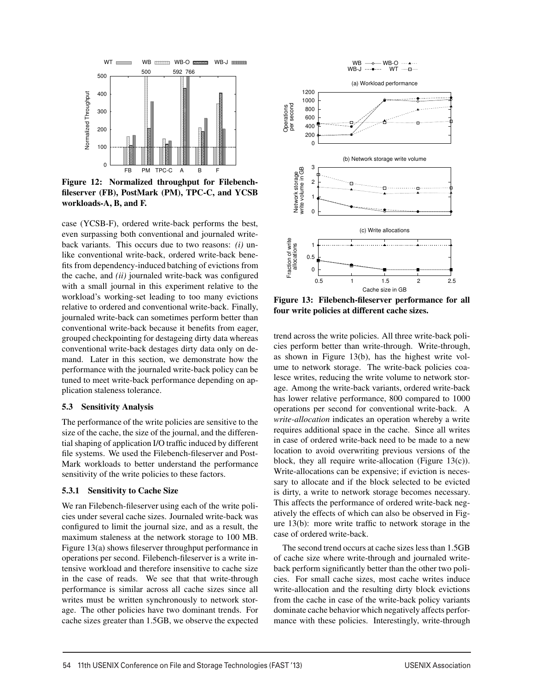

Figure 12: Normalized throughput for Filebenchfileserver (FB), PostMark (PM), TPC-C, and YCSB workloads-A, B, and F.

case (YCSB-F), ordered write-back performs the best, even surpassing both conventional and journaled writeback variants. This occurs due to two reasons: *(i)* unlike conventional write-back, ordered write-back benefits from dependency-induced batching of evictions from the cache, and *(ii)* journaled write-back was configured with a small journal in this experiment relative to the workload's working-set leading to too many evictions relative to ordered and conventional write-back. Finally, journaled write-back can sometimes perform better than conventional write-back because it benefits from eager, grouped checkpointing for destageing dirty data whereas conventional write-back destages dirty data only on demand. Later in this section, we demonstrate how the performance with the journaled write-back policy can be tuned to meet write-back performance depending on application staleness tolerance.

### 5.3 Sensitivity Analysis

The performance of the write policies are sensitive to the size of the cache, the size of the journal, and the differential shaping of application I/O traffic induced by different file systems. We used the Filebench-fileserver and Post-Mark workloads to better understand the performance sensitivity of the write policies to these factors.

### 5.3.1 Sensitivity to Cache Size

We ran Filebench-fileserver using each of the write policies under several cache sizes. Journaled write-back was configured to limit the journal size, and as a result, the maximum staleness at the network storage to 100 MB. Figure 13(a) shows fileserver throughput performance in operations per second. Filebench-fileserver is a write intensive workload and therefore insensitive to cache size in the case of reads. We see that that write-through performance is similar across all cache sizes since all writes must be written synchronously to network storage. The other policies have two dominant trends. For cache sizes greater than 1.5GB, we observe the expected



Figure 13: Filebench-fileserver performance for all four write policies at different cache sizes.

trend across the write policies. All three write-back policies perform better than write-through. Write-through, as shown in Figure 13(b), has the highest write volume to network storage. The write-back policies coalesce writes, reducing the write volume to network storage. Among the write-back variants, ordered write-back has lower relative performance, 800 compared to 1000 operations per second for conventional write-back. A *write-allocation* indicates an operation whereby a write requires additional space in the cache. Since all writes in case of ordered write-back need to be made to a new location to avoid overwriting previous versions of the block, they all require write-allocation (Figure 13(c)). Write-allocations can be expensive; if eviction is necessary to allocate and if the block selected to be evicted is dirty, a write to network storage becomes necessary. This affects the performance of ordered write-back negatively the effects of which can also be observed in Figure 13(b): more write traffic to network storage in the case of ordered write-back.

The second trend occurs at cache sizes less than 1.5GB of cache size where write-through and journaled writeback perform significantly better than the other two policies. For small cache sizes, most cache writes induce write-allocation and the resulting dirty block evictions from the cache in case of the write-back policy variants dominate cache behavior which negatively affects performance with these policies. Interestingly, write-through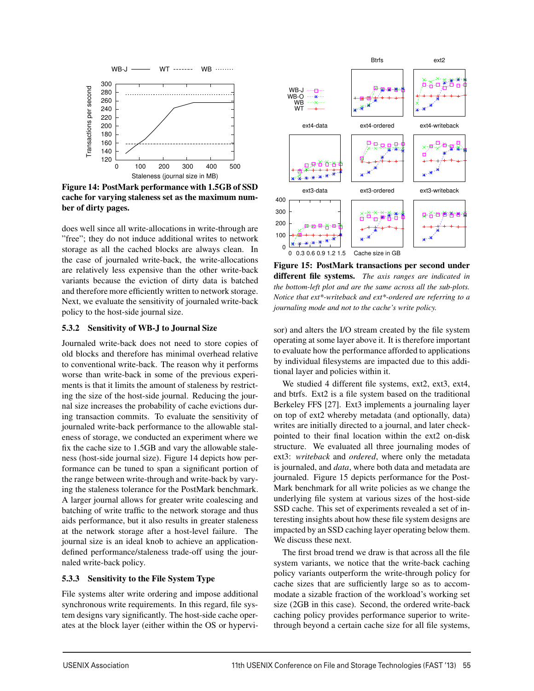

Figure 14: PostMark performance with 1.5GB of SSD cache for varying staleness set as the maximum number of dirty pages.

does well since all write-allocations in write-through are "free"; they do not induce additional writes to network storage as all the cached blocks are always clean. In the case of journaled write-back, the write-allocations are relatively less expensive than the other write-back variants because the eviction of dirty data is batched and therefore more efficiently written to network storage. Next, we evaluate the sensitivity of journaled write-back policy to the host-side journal size.

### 5.3.2 Sensitivity of WB-J to Journal Size

Journaled write-back does not need to store copies of old blocks and therefore has minimal overhead relative to conventional write-back. The reason why it performs worse than write-back in some of the previous experiments is that it limits the amount of staleness by restricting the size of the host-side journal. Reducing the journal size increases the probability of cache evictions during transaction commits. To evaluate the sensitivity of journaled write-back performance to the allowable staleness of storage, we conducted an experiment where we fix the cache size to 1.5GB and vary the allowable staleness (host-side journal size). Figure 14 depicts how performance can be tuned to span a significant portion of the range between write-through and write-back by varying the staleness tolerance for the PostMark benchmark. A larger journal allows for greater write coalescing and batching of write traffic to the network storage and thus aids performance, but it also results in greater staleness at the network storage after a host-level failure. The journal size is an ideal knob to achieve an applicationdefined performance/staleness trade-off using the journaled write-back policy.

## 5.3.3 Sensitivity to the File System Type

File systems alter write ordering and impose additional synchronous write requirements. In this regard, file system designs vary significantly. The host-side cache operates at the block layer (either within the OS or hypervi-



Figure 15: PostMark transactions per second under different file systems. *The axis ranges are indicated in the bottom-left plot and are the same across all the sub-plots. Notice that ext\*-writeback and ext\*-ordered are referring to a journaling mode and not to the cache's write policy.*

sor) and alters the I/O stream created by the file system operating at some layer above it. It is therefore important to evaluate how the performance afforded to applications by individual filesystems are impacted due to this additional layer and policies within it.

We studied 4 different file systems, ext2, ext3, ext4, and btrfs. Ext2 is a file system based on the traditional Berkeley FFS [27]. Ext3 implements a journaling layer on top of ext2 whereby metadata (and optionally, data) writes are initially directed to a journal, and later checkpointed to their final location within the ext2 on-disk structure. We evaluated all three journaling modes of ext3: *writeback* and *ordered*, where only the metadata is journaled, and *data*, where both data and metadata are journaled. Figure 15 depicts performance for the Post-Mark benchmark for all write policies as we change the underlying file system at various sizes of the host-side SSD cache. This set of experiments revealed a set of interesting insights about how these file system designs are impacted by an SSD caching layer operating below them. We discuss these next.

The first broad trend we draw is that across all the file system variants, we notice that the write-back caching policy variants outperform the write-through policy for cache sizes that are sufficiently large so as to accommodate a sizable fraction of the workload's working set size (2GB in this case). Second, the ordered write-back caching policy provides performance superior to writethrough beyond a certain cache size for all file systems,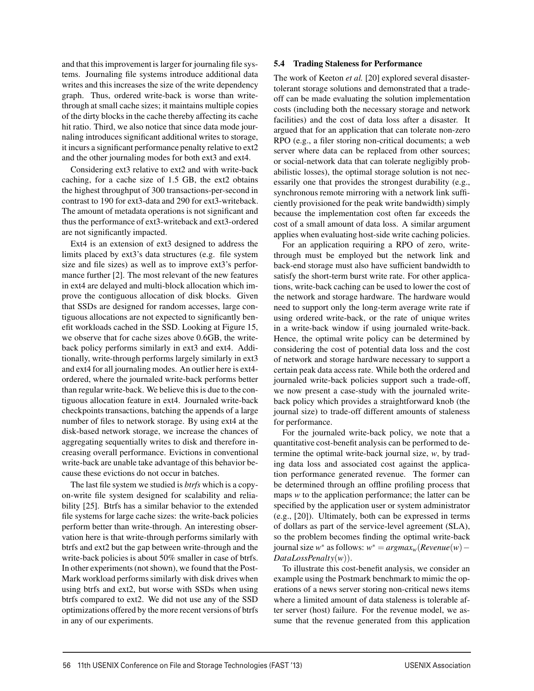and that this improvement is larger for journaling file systems. Journaling file systems introduce additional data writes and this increases the size of the write dependency graph. Thus, ordered write-back is worse than writethrough at small cache sizes; it maintains multiple copies of the dirty blocks in the cache thereby affecting its cache hit ratio. Third, we also notice that since data mode journaling introduces significant additional writes to storage, it incurs a significant performance penalty relative to ext2 and the other journaling modes for both ext3 and ext4.

Considering ext3 relative to ext2 and with write-back caching, for a cache size of 1.5 GB, the ext2 obtains the highest throughput of 300 transactions-per-second in contrast to 190 for ext3-data and 290 for ext3-writeback. The amount of metadata operations is not significant and thus the performance of ext3-writeback and ext3-ordered are not significantly impacted.

Ext4 is an extension of ext3 designed to address the limits placed by ext3's data structures (e.g. file system size and file sizes) as well as to improve ext3's performance further [2]. The most relevant of the new features in ext4 are delayed and multi-block allocation which improve the contiguous allocation of disk blocks. Given that SSDs are designed for random accesses, large contiguous allocations are not expected to significantly benefit workloads cached in the SSD. Looking at Figure 15, we observe that for cache sizes above 0.6GB, the writeback policy performs similarly in ext3 and ext4. Additionally, write-through performs largely similarly in ext3 and ext4 for all journaling modes. An outlier here is ext4 ordered, where the journaled write-back performs better than regular write-back. We believe this is due to the contiguous allocation feature in ext4. Journaled write-back checkpoints transactions, batching the appends of a large number of files to network storage. By using ext4 at the disk-based network storage, we increase the chances of aggregating sequentially writes to disk and therefore increasing overall performance. Evictions in conventional write-back are unable take advantage of this behavior because these evictions do not occur in batches.

The last file system we studied is *btrfs* which is a copyon-write file system designed for scalability and reliability [25]. Btrfs has a similar behavior to the extended file systems for large cache sizes: the write-back policies perform better than write-through. An interesting observation here is that write-through performs similarly with btrfs and ext2 but the gap between write-through and the write-back policies is about 50% smaller in case of btrfs. In other experiments (not shown), we found that the Post-Mark workload performs similarly with disk drives when using btrfs and ext2, but worse with SSDs when using btrfs compared to ext2. We did not use any of the SSD optimizations offered by the more recent versions of btrfs in any of our experiments.

### 5.4 Trading Staleness for Performance

The work of Keeton *et al.* [20] explored several disastertolerant storage solutions and demonstrated that a tradeoff can be made evaluating the solution implementation costs (including both the necessary storage and network facilities) and the cost of data loss after a disaster. It argued that for an application that can tolerate non-zero RPO (e.g., a filer storing non-critical documents; a web server where data can be replaced from other sources; or social-network data that can tolerate negligibly probabilistic losses), the optimal storage solution is not necessarily one that provides the strongest durability (e.g., synchronous remote mirroring with a network link sufficiently provisioned for the peak write bandwidth) simply because the implementation cost often far exceeds the cost of a small amount of data loss. A similar argument applies when evaluating host-side write caching policies.

For an application requiring a RPO of zero, writethrough must be employed but the network link and back-end storage must also have sufficient bandwidth to satisfy the short-term burst write rate. For other applications, write-back caching can be used to lower the cost of the network and storage hardware. The hardware would need to support only the long-term average write rate if using ordered write-back, or the rate of unique writes in a write-back window if using journaled write-back. Hence, the optimal write policy can be determined by considering the cost of potential data loss and the cost of network and storage hardware necessary to support a certain peak data access rate. While both the ordered and journaled write-back policies support such a trade-off, we now present a case-study with the journaled writeback policy which provides a straightforward knob (the journal size) to trade-off different amounts of staleness for performance.

For the journaled write-back policy, we note that a quantitative cost-benefit analysis can be performed to determine the optimal write-back journal size, *w*, by trading data loss and associated cost against the application performance generated revenue. The former can be determined through an offline profiling process that maps *w* to the application performance; the latter can be specified by the application user or system administrator (e.g., [20]). Ultimately, both can be expressed in terms of dollars as part of the service-level agreement (SLA), so the problem becomes finding the optimal write-back journal size *w*<sup>∗</sup> as follows:  $w^* = argmax_w(Revenue(w) -$ *DataLossPenalty*(*w*)).

To illustrate this cost-benefit analysis, we consider an example using the Postmark benchmark to mimic the operations of a news server storing non-critical news items where a limited amount of data staleness is tolerable after server (host) failure. For the revenue model, we assume that the revenue generated from this application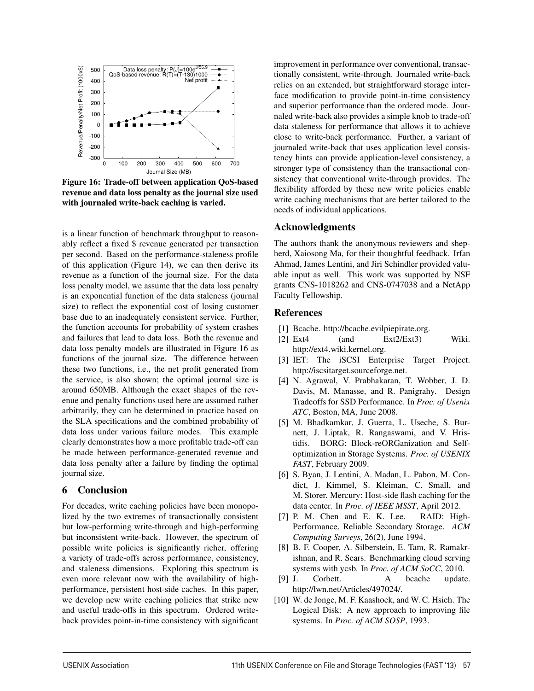

Figure 16: Trade-off between application QoS-based revenue and data loss penalty as the journal size used with journaled write-back caching is varied.

is a linear function of benchmark throughput to reasonably reflect a fixed \$ revenue generated per transaction per second. Based on the performance-staleness profile of this application (Figure 14), we can then derive its revenue as a function of the journal size. For the data loss penalty model, we assume that the data loss penalty is an exponential function of the data staleness (journal size) to reflect the exponential cost of losing customer base due to an inadequately consistent service. Further, the function accounts for probability of system crashes and failures that lead to data loss. Both the revenue and data loss penalty models are illustrated in Figure 16 as functions of the journal size. The difference between these two functions, i.e., the net profit generated from the service, is also shown; the optimal journal size is around 650MB. Although the exact shapes of the revenue and penalty functions used here are assumed rather arbitrarily, they can be determined in practice based on the SLA specifications and the combined probability of data loss under various failure modes. This example clearly demonstrates how a more profitable trade-off can be made between performance-generated revenue and data loss penalty after a failure by finding the optimal journal size.

## 6 Conclusion

For decades, write caching policies have been monopolized by the two extremes of transactionally consistent but low-performing write-through and high-performing but inconsistent write-back. However, the spectrum of possible write policies is significantly richer, offering a variety of trade-offs across performance, consistency, and staleness dimensions. Exploring this spectrum is even more relevant now with the availability of highperformance, persistent host-side caches. In this paper, we develop new write caching policies that strike new and useful trade-offs in this spectrum. Ordered writeback provides point-in-time consistency with significant

improvement in performance over conventional, transactionally consistent, write-through. Journaled write-back relies on an extended, but straightforward storage interface modification to provide point-in-time consistency and superior performance than the ordered mode. Journaled write-back also provides a simple knob to trade-off data staleness for performance that allows it to achieve close to write-back performance. Further, a variant of journaled write-back that uses application level consistency hints can provide application-level consistency, a stronger type of consistency than the transactional consistency that conventional write-through provides. The flexibility afforded by these new write policies enable write caching mechanisms that are better tailored to the needs of individual applications.

## Acknowledgments

The authors thank the anonymous reviewers and shepherd, Xaiosong Ma, for their thoughtful feedback. Irfan Ahmad, James Lentini, and Jiri Schindler provided valuable input as well. This work was supported by NSF grants CNS-1018262 and CNS-0747038 and a NetApp Faculty Fellowship.

## References

- [1] Bcache. http://bcache.evilpiepirate.org.
- [2] Ext4 (and Ext2/Ext3) Wiki. http://ext4.wiki.kernel.org.
- [3] IET: The iSCSI Enterprise Target Project. http://iscsitarget.sourceforge.net.
- [4] N. Agrawal, V. Prabhakaran, T. Wobber, J. D. Davis, M. Manasse, and R. Panigrahy. Design Tradeoffs for SSD Performance. In *Proc. of Usenix ATC*, Boston, MA, June 2008.
- [5] M. Bhadkamkar, J. Guerra, L. Useche, S. Burnett, J. Liptak, R. Rangaswami, and V. Hristidis. BORG: Block-reORGanization and Selfoptimization in Storage Systems. *Proc. of USENIX FAST*, February 2009.
- [6] S. Byan, J. Lentini, A. Madan, L. Pabon, M. Condict, J. Kimmel, S. Kleiman, C. Small, and M. Storer. Mercury: Host-side flash caching for the data center. In *Proc. of IEEE MSST*, April 2012.
- [7] P. M. Chen and E. K. Lee. RAID: High-Performance, Reliable Secondary Storage. *ACM Computing Surveys*, 26(2), June 1994.
- [8] B. F. Cooper, A. Silberstein, E. Tam, R. Ramakrishnan, and R. Sears. Benchmarking cloud serving systems with ycsb. In *Proc. of ACM SoCC*, 2010.
- [9] J. Corbett. A bcache update. http://lwn.net/Articles/497024/.
- [10] W. de Jonge, M. F. Kaashoek, and W. C. Hsieh. The Logical Disk: A new approach to improving file systems. In *Proc. of ACM SOSP*, 1993.